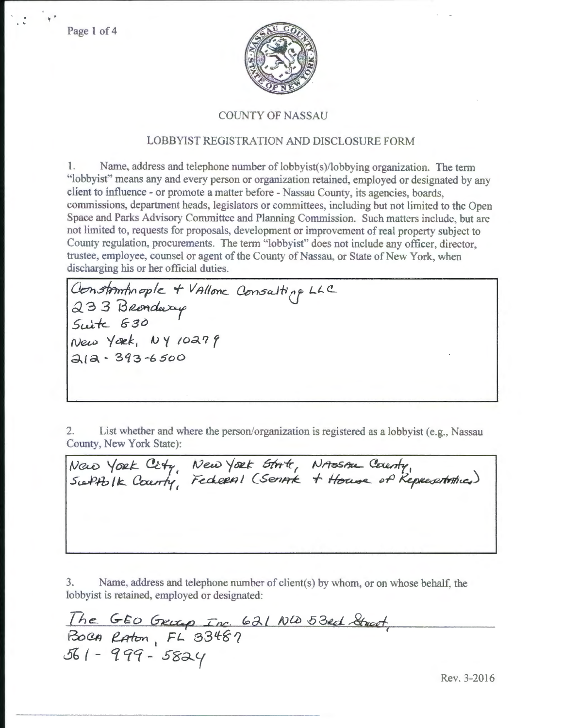Page 1 of 4

 $\ddot{\cdot}$ 



## COUNTY OF NASSAU

# LOBBYIST REGISTRATION AND DISCLOSURE FORM

1. Name, address and telephone number of lobbyist(s)/lobbying organization. The term "lobbyist" means any and every person or organization retained, employed or designated by any client to influence- or promote a matter before- Nassau County, its agencies, boards, commissions, department heads, legislators or committees, including but not limited to the Open Space and Parks Advisory Committee and Planning Commission. Such matters include, but arc not limited to, requests for proposals, development or improvement of real property subject to County regulation. procurements. The term ''lobbyist" does not include any officer, director, trustee, employee, counsel or agent of the County of Nassau, or State of New York, when discharging his or her official duties.

*Oon.sfnnf,11 cple\_* **+** *v /tl/gnc.\_* ~ocJf, cr *Lt..(!\_*  233 Bronducy *5u.l\*-* **&-30**   $New Yæk, 104 10279$ ~~a- **3q3 -6 soo** 

---------------------~-

2. List whether and where the person/organization is registered as a lobbyist (e.g., Nassau County, New York State):

Now York City, New York State, NASSAL County,<br>Subtblk County, Federal (Senate + House of Representatives)

3. Name, address and telephone number of client(s) by whom. or on whose behalf, the lobbyist is retained, employed or designated:

The GEO GRUGO Inc. 621 NO 53ed Street,<br>BOCA Raton, FL 33487<br>561 - 999 - 5824

Rev. 3-2016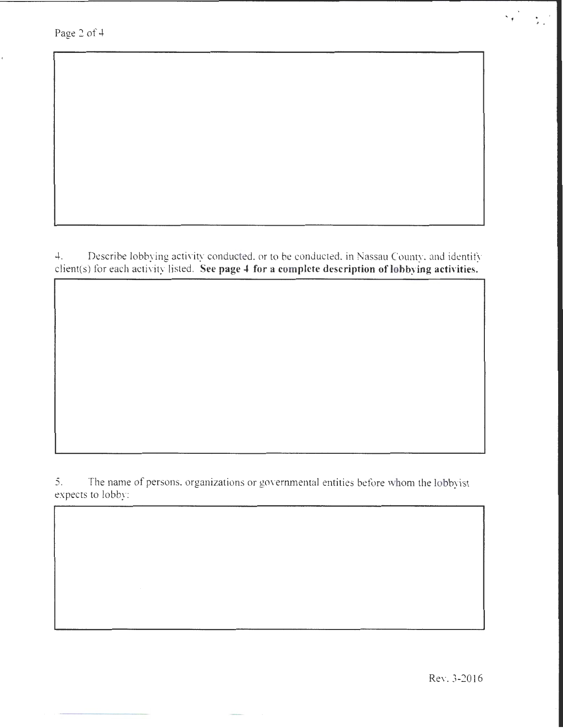Page 2 of 4

4. Describe lobbying activity conducted, or to be conducted, in Nassau County, and identify client(s) for each activity listed. **See page 4 for a complete description of lobbying activities.** 

5. The name of persons, organizations or governmental entities before whom the lobbyist expects to lobby:

Rev. 3-2016

J •

s.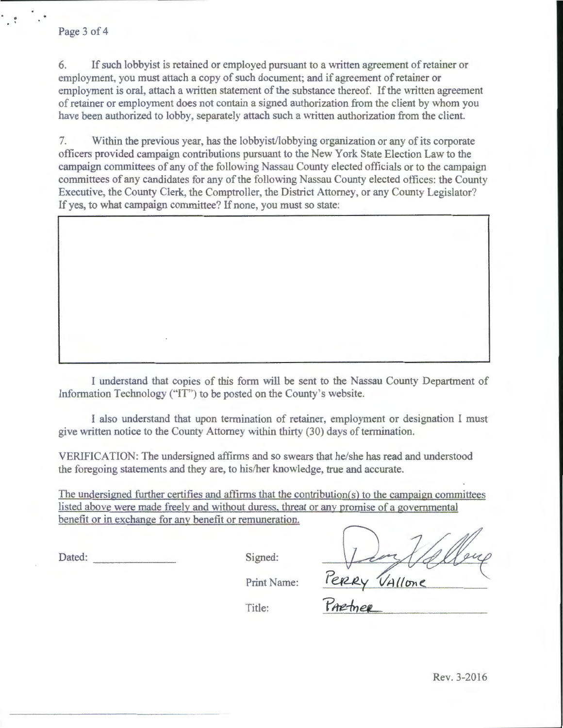6. If such lobbyist is retained or employed pursuant to a written agreement of retainer or employment, you must attach a copy of such document; and if agreement of retainer or employment is oral, attach a written statement of the substance thereof. If the written agreement of retainer or employment does not contain a signed authorization from the client by whom you have been authorized to lobby. separately attach such a written authorization from the client.

7. Within the previous year, has the lobbyist/lobbying organization or any of its corporate officers provided campaign contributions pursuant to the New York State Election Law to the campaign committees of any of the following Nassau County elected officials or to the campaign committees of any candidates for any of the following Nassau County elected offices: the County Executive, the County Clerk, the Comptroller, the District Attorney, or any County Legislator? If yes, to what campaign committee? If none, you must so state:

I understand that copies of this form will be sent to the Nassau County Department of Information Technology ("'IT') to be posted on the County's website.

I also understand that upon termination of retainer, employment or designation I must give written notice to the County Attorney within thirty (30) days of termination.

VERIFICATION: The undersigned affirms and so swears that he/she has read and understood the foregoing statements and they are, to his/her knowledge, true and accurate.

The undersigned further certifies and affirms that the contribution( $s$ ) to the campaign committees listed above were made freely and without duress. threat or any promise of a governmental benefit or in exchange for any benefit or remuneration.

Dated: Signed: Signed: Print Name: Perery VAllone

Title: **Parctimer**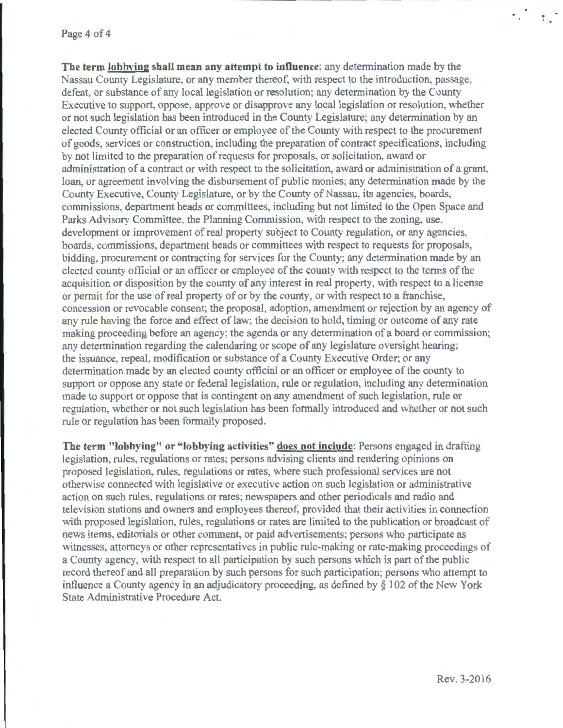#### Page 4 of 4

The term lobbying shall mean any attempt to influence: any determination made by the Nassau County Legislature, or any member thereof. with respect to the introduction, passage. defeat, or substance of any local legislation or resolution; any determination by the County Executive to support, oppose, approve or disapprove any local legislation or resolution, whether or not such legislation has been introduced in the County Legislature; any determination by an elected County official or an officer or employee of the County with respect to the procurement of goods, services or construction, including the preparation of contract specifications, including by not limited to the preparation of requests for proposals, or solicitation, award or administration of a contract or with respect to the solicitation. award or administration of a grant. loan, or agreement involving the disbursement of public monies; any determination made by the County Executive, County Legislature, or by the County of Nassau, its agencies, boards, commissions, department heads or committees, including but not limited to the Open Space and Parks Advisory Committee. the Planning Commission, with respect to the zoning, use, development or improvement of real property subject to County regulation, or any agencies, boards, commissions, department heads or committees with respect to requests for proposals, bidding, procurement or contracting for services for the County; any determination made by an elected county official or an officer or employee of the county with respect to the terms of the acquisition or disposition by the county of any interest in real property, with respect to a license or permit for the use of real property of or by the county. or with respect to a franchise, concession or revocable consent; the proposal. adoption, amendment or rejection by an agency of any rule having the force and eftect of law; the decision to hold, timing or outcome of any rate making proceeding before an agency; the agenda or any determination of a board or commission; any determination regarding the calendaring or scope of any legislature oversight hearing; the issuance. repeal, modification or substance of a County Executive Order; or any determination made by an elected county official or an officer or employee of the county to support or oppose any state or federal legislation, rule or regulation, including any determination made to support or oppose that is contingent on any amendment of such legislation, rule or regulation, whether or not such legislation has been formally introduced and whether or not such rule or regulation has been formally proposed.

**The term "lobbying" or "lobbying activities" does not include:** Persons engaged in drafting legislation, rules, regulations or rates; persons advising clients and rendering opinions on proposed legislation, rules. regulations or rates, where such professional services are not otherwise connected with legislative or executive action on such legislation or administrative action on such rules, regulations or rates; newspapers and other periodicals and radio and television stations and owners and employees thereof, provided that their activities in connection with proposed legislation, rules, regulations or rates are limited to the publication or broadcast of news items. editorials or other comment, or paid advertisements: persons who participate as witnesses, attorneys or other representatives in public rule-making or rate-making proceedings of a County agency, with respect to all participation by such persons which is part of the public record thereof and all preparation by such persons for such participation; persons who attempt to influence a County agency in an adjudicatory proceeding, as defined by  $\S$  102 of the New York State Administrative Procedure Act.

 $\frac{1}{2}$